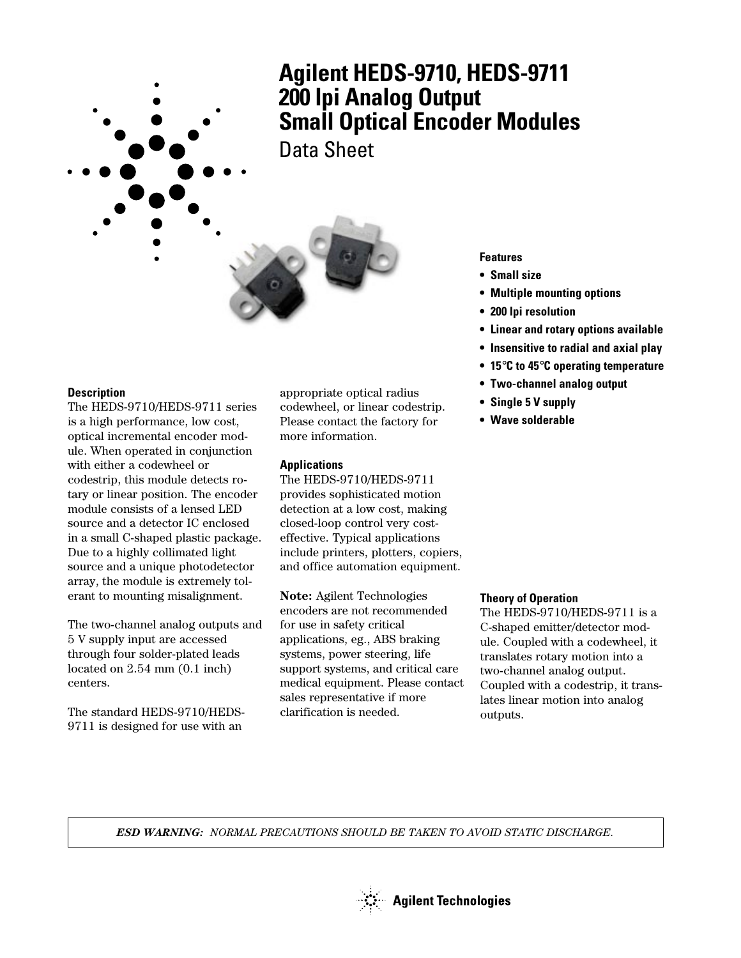

### **Description**

The HEDS-9710/HEDS-9711 series is a high performance, low cost, optical incremental encoder module. When operated in conjunction with either a codewheel or codestrip, this module detects rotary or linear position. The encoder module consists of a lensed LED source and a detector IC enclosed in a small C-shaped plastic package. Due to a highly collimated light source and a unique photodetector array, the module is extremely tolerant to mounting misalignment.

The two-channel analog outputs and 5 V supply input are accessed through four solder-plated leads located on 2.54 mm (0.1 inch) centers.

The standard HEDS-9710/HEDS-9711 is designed for use with an

appropriate optical radius codewheel, or linear codestrip. Please contact the factory for more information.

#### **Applications**

The HEDS-9710/HEDS-9711 provides sophisticated motion detection at a low cost, making closed-loop control very costeffective. Typical applications include printers, plotters, copiers, and office automation equipment.

**Note:** Agilent Technologies encoders are not recommended for use in safety critical applications, eg., ABS braking systems, power steering, life support systems, and critical care medical equipment. Please contact sales representative if more clarification is needed.

**Features**

- **Small size**
- **Multiple mounting options**
- **200 lpi resolution**
- **Linear and rotary options available**
- **Insensitive to radial and axial play**
- **15**°**C to 45**°**C operating temperature**
- **Two-channel analog output**
- **Single 5 V supply**
- **Wave solderable**

#### **Theory of Operation**

The HEDS-9710/HEDS-9711 is a C-shaped emitter/detector module. Coupled with a codewheel, it translates rotary motion into a two-channel analog output. Coupled with a codestrip, it translates linear motion into analog outputs.

*ESD WARNING: NORMAL PRECAUTIONS SHOULD BE TAKEN TO AVOID STATIC DISCHARGE.*

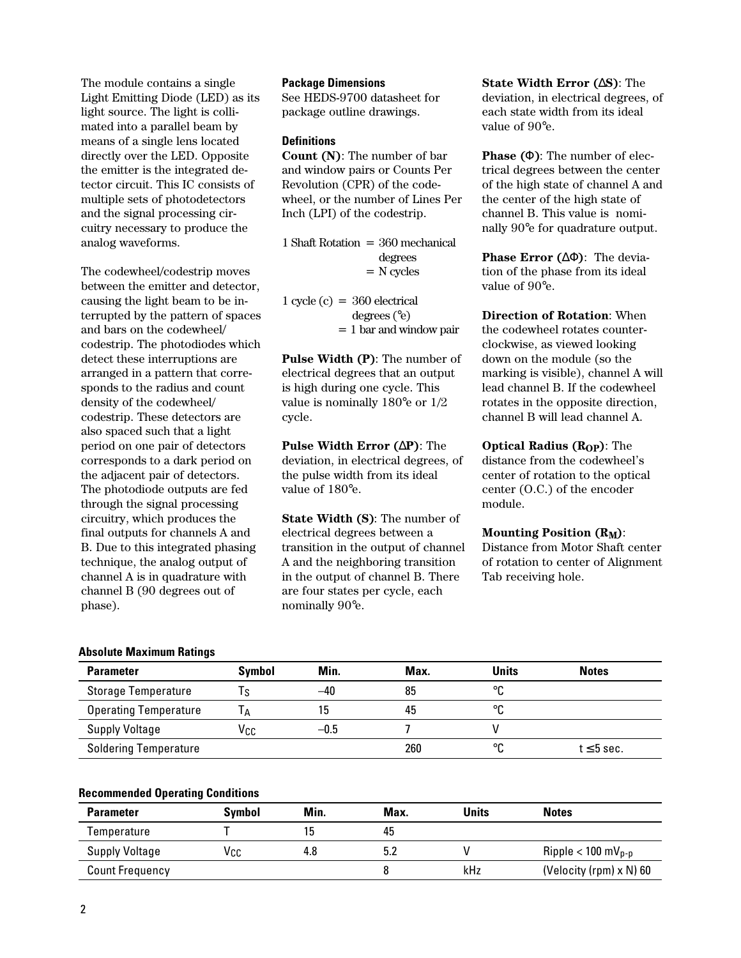The module contains a single Light Emitting Diode (LED) as its light source. The light is collimated into a parallel beam by means of a single lens located directly over the LED. Opposite the emitter is the integrated detector circuit. This IC consists of multiple sets of photodetectors and the signal processing circuitry necessary to produce the analog waveforms.

The codewheel/codestrip moves between the emitter and detector, causing the light beam to be interrupted by the pattern of spaces and bars on the codewheel/ codestrip. The photodiodes which detect these interruptions are arranged in a pattern that corresponds to the radius and count density of the codewheel/ codestrip. These detectors are also spaced such that a light period on one pair of detectors corresponds to a dark period on the adjacent pair of detectors. The photodiode outputs are fed through the signal processing circuitry, which produces the final outputs for channels A and B. Due to this integrated phasing technique, the analog output of channel A is in quadrature with channel B (90 degrees out of phase).

### **Package Dimensions**

See HEDS-9700 datasheet for package outline drawings.

## **Definitions**

**Count (N)**: The number of bar and window pairs or Counts Per Revolution (CPR) of the codewheel, or the number of Lines Per Inch (LPI) of the codestrip.

1 Shaft Rotation = 360 mechanical degrees = N cycles

1 cycle  $(c) = 360$  electrical degrees (°e) = 1 bar and window pair

**Pulse Width (P)**: The number of electrical degrees that an output is high during one cycle. This value is nominally 180°e or 1/2 cycle.

**Pulse Width Error (**∆**P)**: The deviation, in electrical degrees, of the pulse width from its ideal value of 180°e.

**State Width (S)**: The number of electrical degrees between a transition in the output of channel A and the neighboring transition in the output of channel B. There are four states per cycle, each nominally 90°e.

**State Width Error (**∆**S)**: The deviation, in electrical degrees, of each state width from its ideal value of 90°e.

**Phase (**Φ**)**: The number of electrical degrees between the center of the high state of channel A and the center of the high state of channel B. This value is nominally 90°e for quadrature output.

**Phase Error (**∆Φ**)**: The deviation of the phase from its ideal value of 90°e.

**Direction of Rotation**: When the codewheel rotates counterclockwise, as viewed looking down on the module (so the marking is visible), channel A will lead channel B. If the codewheel rotates in the opposite direction, channel B will lead channel A.

**Optical Radius (ROP)**: The distance from the codewheel's center of rotation to the optical center (O.C.) of the encoder module.

#### **Mounting Position (RM)**:

Distance from Motor Shaft center of rotation to center of Alignment Tab receiving hole.

#### **Absolute Maximum Ratings**

| <b>Parameter</b>             | <b>Symbol</b> | Min.   | Max. | <b>Units</b> | <b>Notes</b>    |
|------------------------------|---------------|--------|------|--------------|-----------------|
| <b>Storage Temperature</b>   | ۱s            | $-40$  | 85   | ∘∩           |                 |
| <b>Operating Temperature</b> | IΑ            | 15     | 45   | ∘∩           |                 |
| <b>Supply Voltage</b>        | Vcc           | $-0.5$ |      |              |                 |
| <b>Soldering Temperature</b> |               |        | 260  | °C           | $t \leq 5$ sec. |

### **Recommended Operating Conditions**

| <b>Parameter</b>       | <b>Symbol</b> | Min. | Max. | Units | <b>Notes</b>                     |
|------------------------|---------------|------|------|-------|----------------------------------|
| Temperature            |               | 15.  | 45   |       |                                  |
| Supply Voltage         | Vcc           | 4.8  |      |       | Ripple $< 100$ mV <sub>p-p</sub> |
| <b>Count Frequency</b> |               |      |      | kHz   | (Velocity (rpm) $\times$ N) 60   |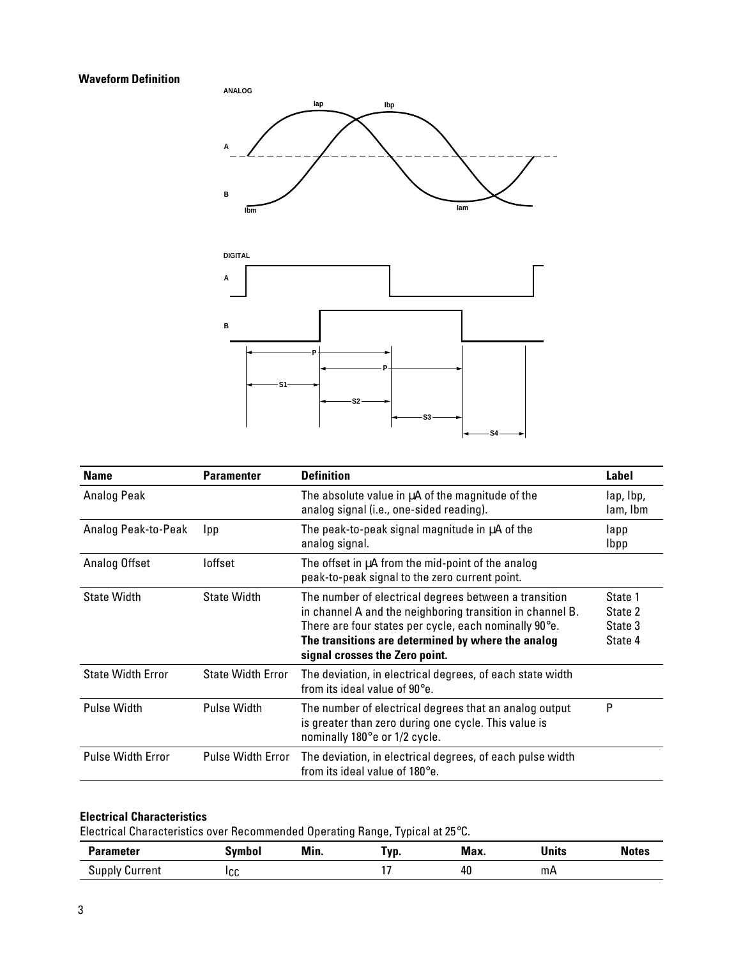## **Waveform Definition**





| <b>Name</b>              | <b>Paramenter</b>        | <b>Definition</b>                                                                                                                                                                                                                                                           | Label                                    |
|--------------------------|--------------------------|-----------------------------------------------------------------------------------------------------------------------------------------------------------------------------------------------------------------------------------------------------------------------------|------------------------------------------|
| Analog Peak              |                          | The absolute value in µA of the magnitude of the<br>analog signal (i.e., one-sided reading).                                                                                                                                                                                | lap, lbp,<br>lam, Ibm                    |
| Analog Peak-to-Peak      | <b>Ipp</b>               | The peak-to-peak signal magnitude in µA of the<br>analog signal.                                                                                                                                                                                                            | lapp<br><b>Ibpp</b>                      |
| Analog Offset            | loffset                  | The offset in µA from the mid-point of the analog<br>peak-to-peak signal to the zero current point.                                                                                                                                                                         |                                          |
| <b>State Width</b>       | <b>State Width</b>       | The number of electrical degrees between a transition<br>in channel A and the neighboring transition in channel B.<br>There are four states per cycle, each nominally $90^\circ$ e.<br>The transitions are determined by where the analog<br>signal crosses the Zero point. | State 1<br>State 2<br>State 3<br>State 4 |
| <b>State Width Error</b> | <b>State Width Error</b> | The deviation, in electrical degrees, of each state width<br>from its ideal value of $90^\circ e$ .                                                                                                                                                                         |                                          |
| Pulse Width              | Pulse Width              | The number of electrical degrees that an analog output<br>is greater than zero during one cycle. This value is<br>nominally 180°e or 1/2 cycle.                                                                                                                             | P                                        |
| <b>Pulse Width Error</b> | <b>Pulse Width Error</b> | The deviation, in electrical degrees, of each pulse width<br>from its ideal value of $180^\circ e$ .                                                                                                                                                                        |                                          |

## **Electrical Characteristics**

Electrical Characteristics over Recommended Operating Range, Typical at 25°C.

| <b>Parameter</b>   | ivmbol | Min. | 'yp. | Max. | Units | <b>Notes</b> |
|--------------------|--------|------|------|------|-------|--------------|
| supply'<br>Current | ICC    |      |      | 40   | mА    |              |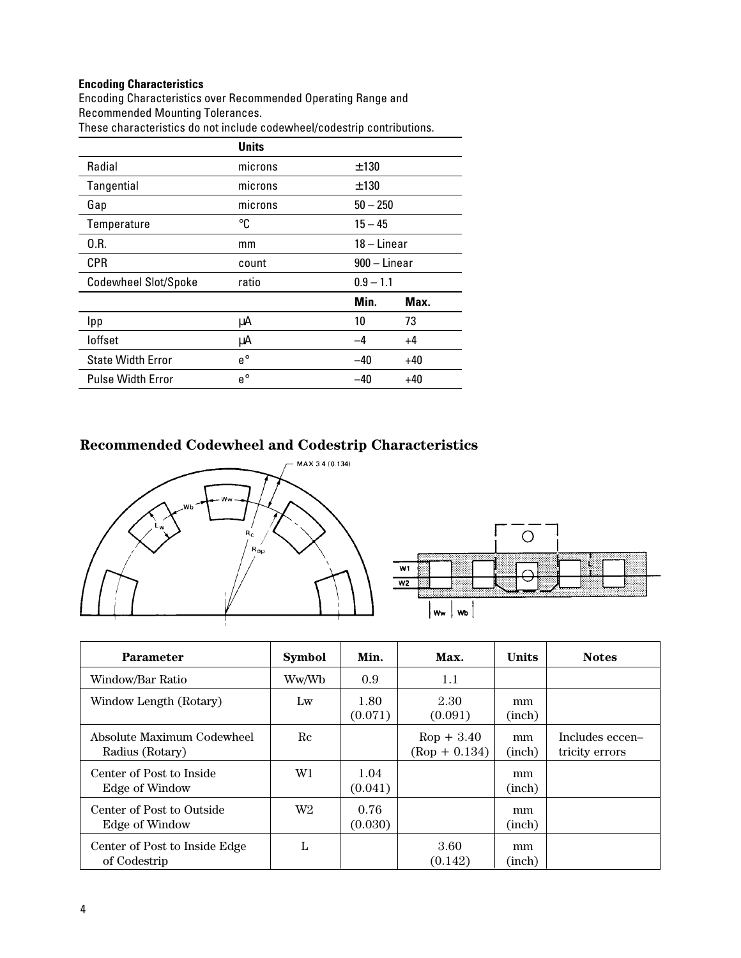# **Encoding Characteristics**

Encoding Characteristics over Recommended Operating Range and Recommended Mounting Tolerances. These characteristics do not include codewheel/codestrip contributions.

|                             | <b>Units</b> |                |       |
|-----------------------------|--------------|----------------|-------|
| Radial                      | microns      | ±130           |       |
| Tangential                  | microns      | ±130           |       |
| Gap                         | microns      | $50 - 250$     |       |
| Temperature                 | ℃            | $15 - 45$      |       |
| 0.R.                        | mm           | $18 -$ Linear  |       |
| <b>CPR</b>                  | count        | $900 - Linear$ |       |
| <b>Codewheel Slot/Spoke</b> | ratio        | $0.9 - 1.1$    |       |
|                             |              | Min.           | Max.  |
| <b>Ipp</b>                  | μA           | 10             | 73    |
| loffset                     | μA           | -4             | $+4$  |
| <b>State Width Error</b>    | $e^{\circ}$  | $-40$          | +40   |
| <b>Pulse Width Error</b>    | $e^{\circ}$  | -40            | $+40$ |

# **Recommended Codewheel and Codestrip Characteristics**



| <b>Parameter</b>                              | <b>Symbol</b>  | Min.            | Max.                            | <b>Units</b> | <b>Notes</b>                      |
|-----------------------------------------------|----------------|-----------------|---------------------------------|--------------|-----------------------------------|
| Window/Bar Ratio                              | Ww/Wb          | 0.9             | 1.1                             |              |                                   |
| Window Length (Rotary)                        | Lw             | 1.80<br>(0.071) | 2.30<br>(0.091)                 | mm<br>(inch) |                                   |
| Absolute Maximum Codewheel<br>Radius (Rotary) | Re             |                 | $Rop + 3.40$<br>$(Rop + 0.134)$ | mm<br>(inch) | Includes eccen-<br>tricity errors |
| Center of Post to Inside<br>Edge of Window    | W1             | 1.04<br>(0.041) |                                 | mm<br>(inch) |                                   |
| Center of Post to Outside<br>Edge of Window   | W <sub>2</sub> | 0.76<br>(0.030) |                                 | mm<br>(inch) |                                   |
| Center of Post to Inside Edge<br>of Codestrip | L              |                 | 3.60<br>(0.142)                 | mm<br>(inch) |                                   |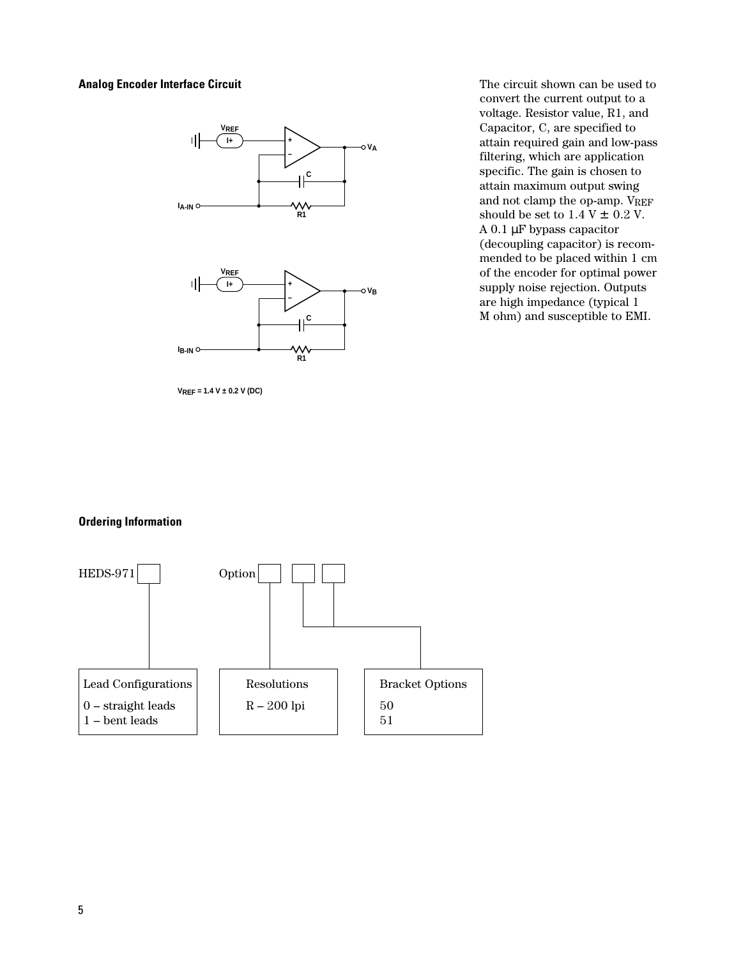### **Analog Encoder Interface Circuit**



**VREF = 1.4 V ± 0.2 V (DC)**

The circuit shown can be used to convert the current output to a voltage. Resistor value, R1, and Capacitor, C, are specified to attain required gain and low-pass filtering, which are application specific. The gain is chosen to attain maximum output swing and not clamp the op-amp. VREF should be set to  $1.4$  V  $\pm$  0.2 V. A 0.1 µF bypass capacitor (decoupling capacitor) is recommended to be placed within 1 cm of the encoder for optimal power supply noise rejection. Outputs are high impedance (typical 1 M ohm) and susceptible to EMI.

### **Ordering Information**

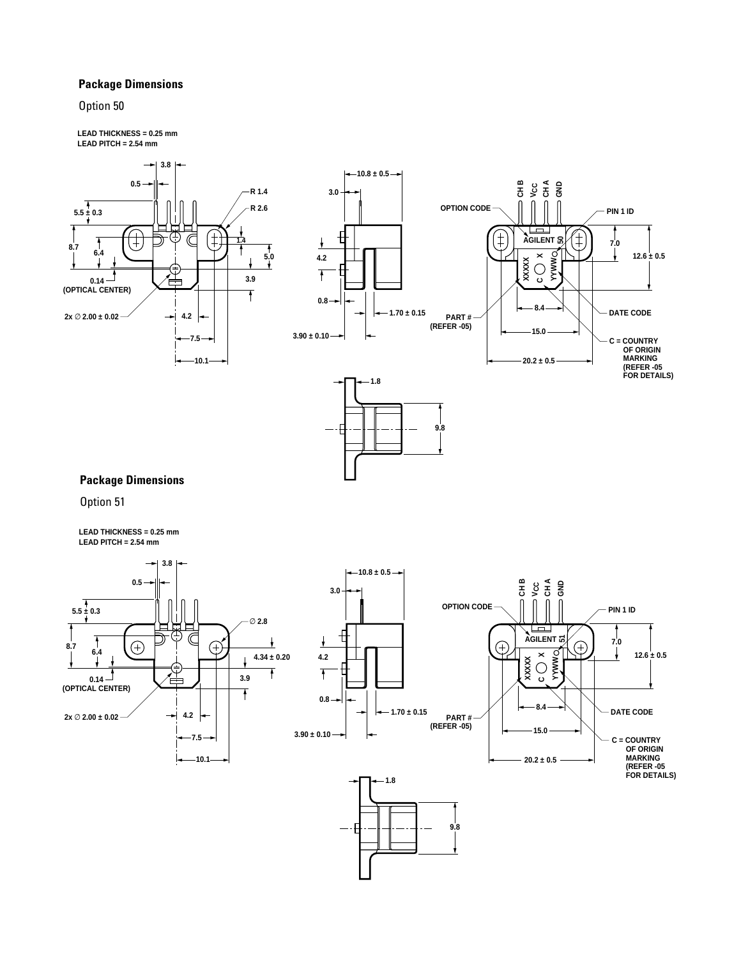### **Package Dimensions**

### Option 50

**LEAD THICKNESS = 0.25 mm LEAD PITCH = 2.54 mm**

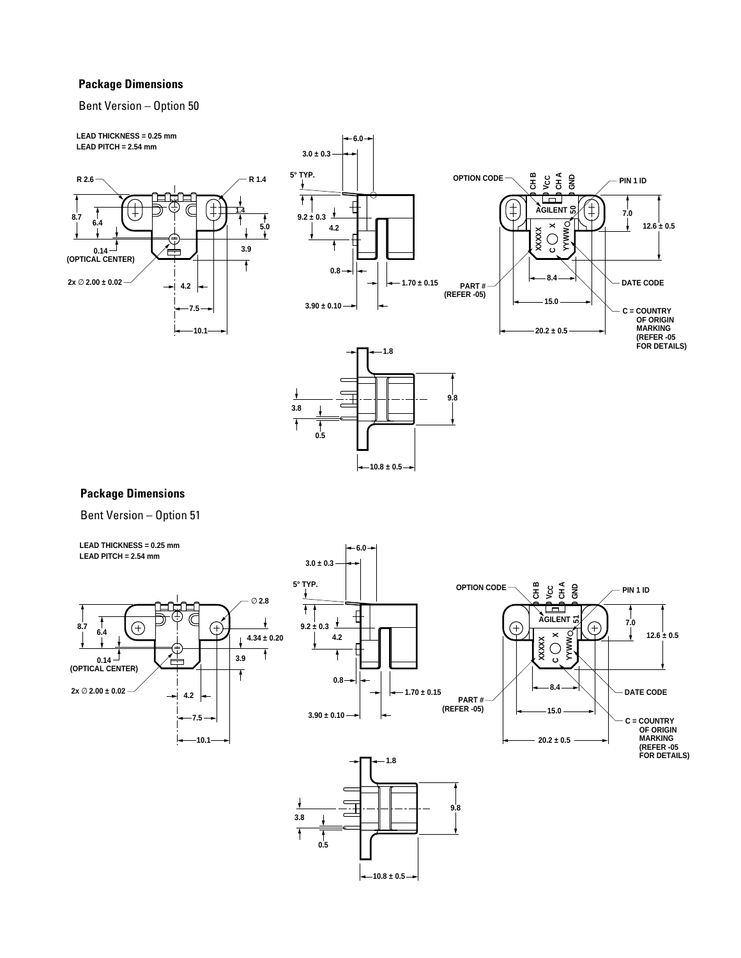### **Package Dimensions**

#### Bent Version – Option 50



# **Package Dimensions**

Bent Version – Option 51